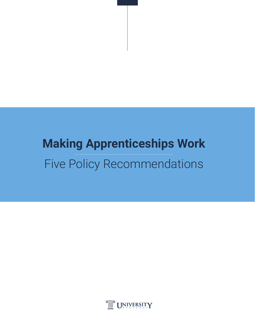## **Making Apprenticeships Work** Five Policy Recommendations

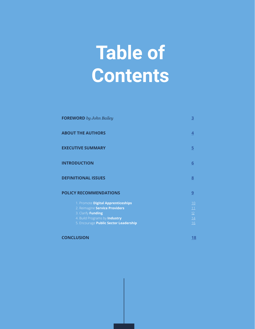# **Table of Contents**

| <b>FOREWORD</b> by John Bailey                                                                                                                                       |                                   |
|----------------------------------------------------------------------------------------------------------------------------------------------------------------------|-----------------------------------|
| <b>ABOUT THE AUTHORS</b>                                                                                                                                             | 4                                 |
| <b>EXECUTIVE SUMMARY</b>                                                                                                                                             | $5\overline{)}$                   |
| <b>INTRODUCTION</b>                                                                                                                                                  | 6                                 |
| <b>DEFINITIONAL ISSUES</b>                                                                                                                                           | 8                                 |
| <b>POLICY RECOMMENDATIONS</b>                                                                                                                                        | 9                                 |
| 1. Promote Digital Apprenticeships<br>2. Reimagine Service Providers<br>3. Clarify Funding<br>4. Build Programs by Industry<br>5. Encourage Public Sector Leadership | 10<br>11<br>12<br>14<br><u>16</u> |

**CONCLUSION [18](#page-17-0)**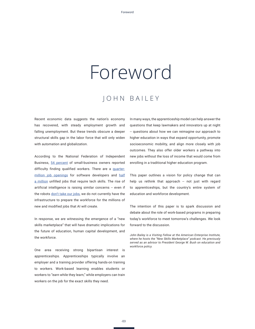## <span id="page-2-0"></span>Foreword

### JOHN BAILEY

Recent economic data suggests the nation's economy has recovered, with steady employment growth and falling unemployment. But these trends obscure a deeper structural skills gap in the labor force that will only widen with automation and globalization.

According to the National Federation of Independent Business, [54 percent](https://www.nfib.com/content/press-release/economy/as-small-business-confidence-surges-worker-shortage-and-wage-pressure-intensify/) of small-business owners reported difficulty finding qualified workers. There are a [quarter](https://www.inc.com/salvador-rodriguez/act-software-developers-map.html)[million job openings](https://www.inc.com/salvador-rodriguez/act-software-developers-map.html) for software developers and [half](https://www.wired.com/2015/03/techhire-initiative/) [a million](https://www.wired.com/2015/03/techhire-initiative/) unfilled jobs that require tech skills. The rise of artificial intelligence is raising similar concerns -- even if the robots [don't take our jobs](https://www.usnews.com/opinion/economic-intelligence/articles/2018-01-23/artificial-intelligences-real-jobs-challenge), we do not currently have the infrastructure to prepare the workforce for the millions of new and modified jobs that AI will create.

In response, we are witnessing the emergence of a "new skills marketplace" that will have dramatic implications for the future of education, human capital development, and the workforce.

One area receiving strong bipartisan interest is apprenticeships. Apprenticeships typically involve an employer and a training provider offering hands-on training to workers. Work-based learning enables students or workers to "earn while they learn," while employers can train workers on the job for the exact skills they need.

In many ways, the apprenticeship model can help answer the questions that keep lawmakers and innovators up at night -- questions about how we can reimagine our approach to higher education in ways that expand opportunity, promote socioeconomic mobility, and align more closely with job outcomes. They also offer older workers a pathway into new jobs without the loss of income that would come from enrolling in a traditional higher education program.

This paper outlines a vision for policy change that can help us rethink that approach -- not just with regard to apprenticeships, but the country's entire system of education and workforce development.

The intention of this paper is to spark discussion and debate about the role of work-based programs in preparing today's workforce to meet tomorrow's challenges. We look forward to the discussion.

*John Bailey is a Visiting Fellow at the American Enterprise Institute, where he hosts the "New Skills Marketplace" podcast. He previously served as an advisor to President George W. Bush on education and workforce policy.*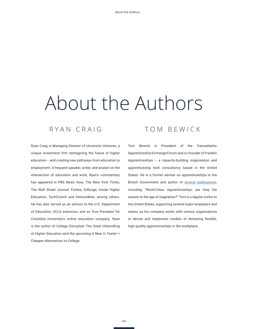# <span id="page-3-0"></span>About the Authors

### RYAN CRAIG

Ryan Craig is Managing Director of University Ventures, a unique investment firm reimagining the future of higher education -- and creating new pathways from education to employment. A frequent speaker, writer, and analyst on the intersection of education and work, Ryan's commentary has appeared in PBS News Hour, The New York Times, The Wall Street Journal, Forbes, EdSurge, Inside Higher Education, TechCrunch and VentureBeat, among others. He has also served as an advisor to the U.S. Department of Education, UCLA extension, and as Vice President for Columbia University's online education company. Ryan is the author of College Disrupted: The Great Unbundling of Higher Education and the upcoming A New U: Faster + Cheaper Alternatives to College.

### TOM BEWICK

Tom Bewick is President of the Transatlantic Apprenticeship Exchange Forum and co-founder of Franklin Apprenticeships -- a capacity-building organisation and apprenticeship tech consultancy based in the United States. He is a former adviser on apprenticeships to the British Government and author of [several publications](http://worldskills.se/wp-content/uploads/2016/07/World-Class-Apprenticeships.pdf), including "World-Class Apprenticeships: are they the answer to the age of stagnation?" Tom is a regular visitor to the United States, supporting several major employers and states, as his company works with various organizations to devise and implement models of delivering flexible, high-quality apprenticeships in the workplace.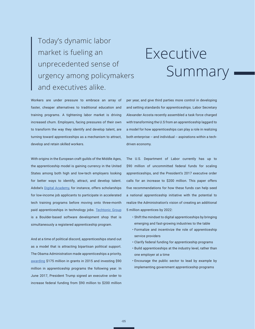### <span id="page-4-0"></span>Today's dynamic labor market is fueling an unprecedented sense of urgency among policymakers and executives alike.

## Executive Summary

Workers are under pressure to embrace an array of faster, cheaper alternatives to traditional education and training programs. A tightening labor market is driving increased churn. Employers, facing pressures of their own to transform the way they identify and develop talent, are turning toward apprenticeships as a mechanism to attract, develop and retain skilled workers.

With origins in the European craft guilds of the Middle Ages, the apprenticeship model is gaining currency in the United States among both high and low-tech employers looking for better ways to identify, attract, and develop talent. Adobe's [Digital Academy](https://www.adobe.com/corporate-responsibility/education/digital-academy.html), for instance, offers scholarships for low-income job applicants to participate in accelerated tech training programs before moving onto three-month paid apprenticeships in technology jobs. [Techtonic Group](http://www.techtonicgroup.com/) is a Boulder-based software development shop that is simultaneously a registered apprenticeship program.

And at a time of political discord, apprenticeships stand out as a model that is attracting bipartisan political support. The Obama Administration made apprenticeships a priority, [awarding](http://time.com/money/4820268/trump-apprenticeship-plan/) \$175 million in grants in 2015 and investing \$90 million in apprenticeship programs the following year. In June 2017, President Trump signed an executive order to increase federal funding from \$90 million to \$200 million

per year, and give third parties more control in developing and setting standards for apprenticeships. Labor Secretary Alexander Acosta recently assembled a task force charged with transforming the U.S from an apprenticeship laggard to a model for how apprenticeships can play a role in realizing both enterprise -- and individual -- aspirations within a techdriven economy.

The U.S. Department of Labor currently has up to \$90 million of uncommitted federal funds for scaling apprenticeships, and the President's 2017 executive order calls for an increase to \$200 million. This paper offers five recommendations for how these funds can help seed a national apprenticeship initiative with the potential to realize the Administration's vision of creating an additional 5 million apprentices by 2022:

- Shift the mindset to digital apprenticeships by bringing emerging and fast-growing industries to the table
- Formalize and incentivize the role of apprenticeship service providers
- Clarify federal funding for apprenticeship programs
- Build apprenticeships at the industry level, rather than one employer at a time
- Encourage the public sector to lead by example by implementing government apprenticeship programs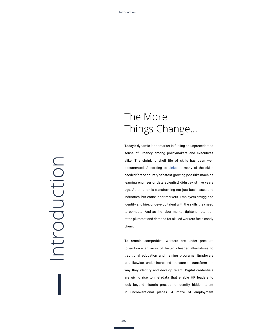# <span id="page-5-0"></span>Introduction ntroduction

### The More Things Change...

Today's dynamic labor market is fueling an unprecedented sense of urgency among policymakers and executives alike. The shrinking shelf life of skills has been well documented. According to [LinkedIn,](https://economicgraph.linkedin.com/research/LinkedIns-2017-US-Emerging-Jobs-Report) many of the skills needed for the country's fastest-growing jobs (like machine learning engineer or data scientist) didn't exist five years ago. Automation is transforming not just businesses and industries, but entire labor markets. Employers struggle to identify and hire, or develop talent with the skills they need to compete. And as the labor market tightens, retention rates plummet and demand for skilled workers fuels costly churn.

To remain competitive, workers are under pressure to embrace an array of faster, cheaper alternatives to traditional education and training programs. Employers are, likewise, under increased pressure to transform the way they identify and develop talent. Digital credentials are giving rise to metadata that enable HR leaders to look beyond historic proxies to identify hidden talent in unconventional places. A maze of employment

-06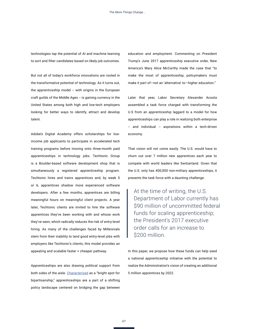technologies tap the potential of AI and machine learning to sort and filter candidates based on likely job outcomes.

But not all of today's workforce innovations are rooted in the transformative potential of technology. As it turns out, the apprenticeship model -- with origins in the European craft guilds of the Middle Ages -- is gaining currency in the United States among both high and low-tech employers looking for better ways to identify, attract and develop talent.

Adobe's Digital Academy offers scholarships for lowincome job applicants to participate in accelerated tech training programs before moving onto three-month paid apprenticeships in technology jobs. Techtonic Group is a Boulder-based software development shop that is simultaneously a registered apprenticeship program. Techtonic hires and trains apprentices and, by week 5 or 6, apprentices shadow more experienced software developers. After a few months, apprentices are billing meaningful hours on meaningful client projects. A year later, Techtonic clients are invited to hire the software apprentices they've been working with and whose work they've seen, which radically reduces the risk of entry-level hiring. As many of the challenges faced by Millennials stem from their inability to land good entry-level jobs with employers like Techtonic's clients, this model provides an appealing and scalable faster + cheaper pathway.

Apprenticeships are also drawing political support from both sides of the aisle. [Characterized](https://www.realcleareducation.com/articles/2017/09/20/a_bright_spot_for_bipartisanship_110204.html) as a "bright spot for bipartisanship," apprenticeships are a part of a shifting policy landscape centered on bridging the gap between

education and employment. Commenting on President Trump's June 2017 apprenticeship executive order, New America's Mary Alice McCarthy made the case that "to make the most of apprenticeship, policymakers must make it part of—not an 'alternative' to—higher education."

Later that year, Labor Secretary Alexander Acosta assembled a task force charged with transforming the U.S from an apprenticeship laggard to a model for how apprenticeships can play a role in realizing both enterprise -- and individual -- aspirations within a tech-driven economy.

That vision will not come easily. The U.S. would have to churn out over 7 million new apprentices each year to compete with world leaders like Switzerland. Given that the U.S. only has 400,000 non-military apprenticeships, it presents the task force with a daunting challenge.

At the time of writing, the U.S. Department of Labor currently has \$90 million of uncommitted federal funds for scaling apprenticeship; the President's 2017 executive order calls for an increase to \$200 million.

In this paper, we propose how these funds can help seed a national apprenticeship initiative with the potential to realize the Administration's vision of creating an additional 5 million apprentices by 2022.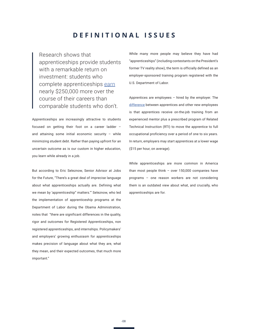#### **DEFINITIONAL ISSUES**

<span id="page-7-0"></span>Research shows that apprenticeships provide students with a remarkable return on investment: students who complete apprenticeships [earn](https://wdr.doleta.gov/research/fulltext_documents/etaop_2012_10.pdf) nearly \$250,000 more over the course of their careers than comparable students who don't.

Apprenticeships are increasingly attractive to students focused on getting their foot on a career ladder – and attaining some initial economic security – while minimizing student debt. Rather than paying upfront for an uncertain outcome as is our custom in higher education, you learn while already in a job.

But according to Eric Seleznow, Senior Advisor at Jobs for the Future, "There's a great deal of imprecise language about what apprenticeships actually are. Defining what we mean by 'apprenticeship" matters.'" Seleznow, who led the implementation of apprenticeship programs at the Department of Labor during the Obama Administration, notes that "there are significant differences in the quality, rigor and outcomes for Registered Apprenticeships, non registered apprenticeships, and internships. Policymakers' and employers' growing enthusiasm for apprenticeships makes precision of language about what they are, what they mean, and their expected outcomes, that much more important."

While many more people may believe they have had "apprenticeships" (including contestants on the President's former TV reality show), the term is officially defined as an employer-sponsored training program registered with the U.S. Department of Labor.

Apprentices are employees – hired by the employer. The [difference](https://www.dol.gov/apprenticeship/toolkit/toolkitfaq.htm) between apprentices and other new employees is that apprentices receive on-the-job training from an experienced mentor plus a prescribed program of Related Technical Instruction (RTI) to move the apprentice to full occupational proficiency over a period of one to six years. In return, employers may start apprentices at a lower wage (\$15 per hour, on average).

While apprenticeships are more common in America than most people think – over 150,000 companies have programs – one reason workers are not considering them is an outdated view about what, and crucially, who apprenticeships are for.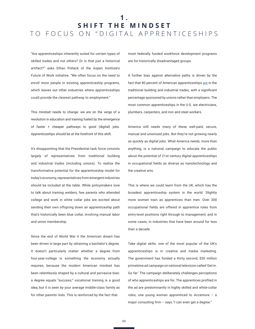### <span id="page-8-0"></span>**1 . SHIFT THE MINDSET** TO FOCUS ON "DIGITAL APPRENTICESHIPS

"Are apprenticeships inherently suited for certain types of skilled trades and not others? Or is that just a historical artifact?" asks Ethan Pollack of the Aspen Institute's Future of Work initiative. "We often focus on the need to enroll more people in existing apprenticeship programs, which leaves out other industries where apprenticeships could provide the clearest pathway to employment."

This mindset needs to change: we are on the verge of a revolution in education and training fueled by the emergence of faster + cheaper pathways to good (digital) jobs. Apprenticeships should be at the forefront of this shift.

It's disappointing that the Presidential task force consists largely of representatives from traditional building and industrial trades (including unions). To realize the transformative potential for the apprenticeship model for today's economy, representatives from emergent industries should be included at the table. While policymakers love to talk about training welders, few parents who attended college and work in white collar jobs are excited about sending their own offspring down an apprenticeship path that's historically been blue collar, involving manual labor and union membership.

Since the end of World War II the American dream has been driven in large part by obtaining a bachelor's degree. It doesn't particularly matter whether a degree from four-year-college is something the economy actually requires, because the modern American mindset has been relentlessly shaped by a cultural and pervasive bias: a degree equals "success;" vocational training is a good idea, but it is seen by your average middle-class family as for other parents' kids. This is reinforced by the fact that

most federally funded workforce development programs are for historically disadvantaged groups.

A further bias against alternative paths is driven by the fact that 80 percent of American apprenticeships [are](https://www.americanprogress.org/issues/economy/reports/2016/11/18/292558/now-is-the-time-to-invest-in-apprenticeships/) in the traditional building and industrial trades, with a significant percentage sponsored by unions rather than employers. The most common apprenticeships in the U.S. are electricians, plumbers, carpenters, and iron and steel workers.

America still needs many of these well-paid, secure, manual and unionized jobs. But they're not growing nearly as quickly as digital jobs. What America needs, more than anything, is a national campaign to educate the public about the potential of 21st century digital apprenticeships in occupational fields as diverse as nanotechnology and the creative arts.

This is where we could learn from the UK, which has the broadest apprenticeship system in the world. Slightly more women train as apprentices than men. Over 300 occupational fields are offered in apprentice roles from entry-level positions right through to management; and in some cases, in industries that have been around for less than a decade.

Take digital skills: one of the most popular of the UK's apprenticeships is in creative and media marketing. The government has funded a thirty second, \$30 million primetime ad campaign on national television called 'Get in. Go far.' The campaign deliberately challenges perceptions of who apprenticeships are for. The apprentices profiled in the ad are predominantly in highly skilled and white-collar roles; one young woman apprenticed to Accenture – a major consulting firm - says "I can even get a degree."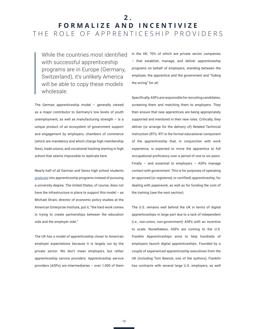### <span id="page-9-0"></span>**2 . F O R M A L I Z E A N D I N C E N T I V I Z E**  THE ROLE OF APPRENTICESHIP PROVIDERS

While the countries most identified with successful apprenticeship programs are in Europe (Germany, Switzerland), it's unlikely America will be able to copy these models wholesale.

The German apprenticeship model – generally viewed as a major contributor to Germany's low levels of youth unemployment, as well as manufacturing strength  $-$  is a unique product of an ecosystem of government support and engagement by employers, chambers of commerce (which are mandatory and which charge high membership fees), trade unions, and vocational tracking starting in high school that seems impossible to replicate here.

Nearly half of all German and Swiss high school students [graduate](https://www.wsj.com/articles/apprenticeships-arent-just-for-welders-anymore-1497437397) into apprenticeship programs instead of pursuing a university degree. The United States, of course, does not have the infrastructure in place to support this model -- as Michael Strain, director of economic policy studies at the American Enterprise Institute, put it, "the hard work comes in trying to create partnerships between the education side and the employer side."

The UK has a model of apprenticeship closer to American employer expectations because it is largely run by the private sector. We don't mean employers, but rather apprenticeship service providers. Apprenticeship service providers (ASPs) are intermediaries – over 1,500 of them in the UK, 70% of which are private sector companies – that establish, manage, and deliver apprenticeship programs on behalf of employers, standing between the employer, the apprentice and the government and "hiding the wiring" for all.

Specifically, ASPs are responsible for recruiting candidates, screening them and matching them to employers. They then ensure that new apprentices are being appropriately supported and mentored in their new roles. Critically, they deliver (or arrange for the delivery of) Related Technical Instruction (RTI). RTI is the formal educational component of the apprenticeship that, in conjunction with work experience, is expected to move the apprentice to full occupational proficiency over a period of one to six years. Finally – and essential to employers – ASPs manage contact with government. This is for purposes of operating an approved (or registered, or certified) apprenticeship, for dealing with paperwork, as well as for funding the cost of the training (see the next section).

The U.S. remains well behind the UK in terms of digital apprenticeships in large part due to a lack of independent (i.e., non-union, non-government) ASPs with an incentive to scale. Nonetheless, ASPs are coming to the U.S. Franklin Apprenticeships aims to help hundreds of employers launch digital apprenticeships. Founded by a couple of experienced apprenticeship executives from the UK (including Tom Bewick, one of the authors), Franklin has contracts with several large U.S. employers, as well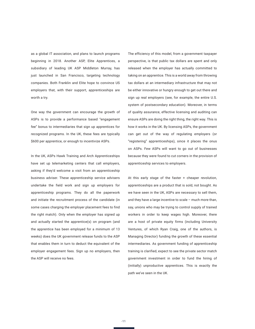as a global IT association, and plans to launch programs beginning in 2018. Another ASP, Elite Apprentices, a subsidiary of leading UK ASP Middleton Murray, has just launched in San Francisco, targeting technology companies. Both Franklin and Elite hope to convince US employers that, with their support, apprenticeships are worth a try.

One way the government can encourage the growth of ASPs is to provide a performance based "engagement fee" bonus to intermediaries that sign up apprentices for recognized programs. In the UK, these fees are typically \$600 per apprentice, or enough to incentivize ASPs.

In the UK, ASPs Hawk Training and Arch Apprenticeships have set up telemarketing centers that call employers, asking if they'd welcome a visit from an apprenticeship business adviser. These apprenticeship service advisers undertake the field work and sign up employers for apprenticeship programs. They do all the paperwork and initiate the recruitment process of the candidate (in some cases charging the employer placement fees to find the right match). Only when the employer has signed up and actually started the apprentice(s) on program (and the apprentice has been employed for a minimum of 13 weeks) does the UK government release funds to the ASP that enables them in turn to deduct the equivalent of the employer engagement fees. Sign up no employers, then the ASP will receive no fees.

The efficiency of this model, from a government taxpayer perspective, is that public tax dollars are spent and only released when the employer has actually committed to taking on an apprentice. This is a world away from throwing tax dollars at an intermediary infrastructure that may not be either innovative or hungry enough to get out there and sign up real employers (see, for example, the entire U.S. system of postsecondary education). Moreover, in terms of quality assurance, effective licensing and auditing can ensure ASPs are doing the right thing, the right way. This is how it works in the UK. By licensing ASPs, the government can get out of the way of regulating employers (or "registering" apprenticeships), since it places the onus on ASPs. Few ASPs will want to go out of businesses because they were found to cut corners in the provision of apprenticeship services to employers.

At this early stage of the faster + cheaper revolution, apprenticeships are a product that is sold, not bought. As we have seen in the UK, ASPs are necessary to sell them, and they have a large incentive to scale – much more than, say, unions who may be trying to control supply of trained workers in order to keep wages high. Moreover, there are a host of private equity firms (including University Ventures, of which Ryan Craig, one of the authors, is Managing Director) funding the growth of these essential intermediaries. As government funding of apprenticeship training is clarified, expect to see the private sector match government investment in order to fund the hiring of (initially) unproductive apprentices. This is exactly the path we've seen in the UK.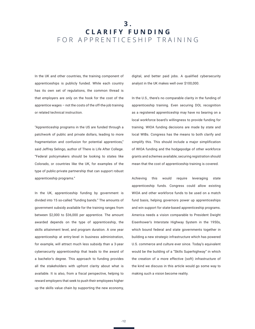### <span id="page-11-0"></span>**3 . C L A R I F Y F U N D I N G**  FOR APPRENTICESHIP TRAINING

In the UK and other countries, the training component of apprenticeships is publicly funded. While each country has its own set of regulations, the common thread is that employers are only on the hook for the cost of the apprentice wages – not the costs of the off-the-job training or related technical instruction.

"Apprenticeship programs in the US are funded through a patchwork of public and private dollars, leading to more fragmentation and confusion for potential apprentices," said Jeffrey Selingo, author of There is Life After College. "Federal policymakers should be looking to states like Colorado, or countries like the UK, for examples of the type of public-private partnership that can support robust apprenticeship programs."

In the UK, apprenticeship funding by government is divided into 15 so-called "funding bands." The amounts of government subsidy available for the training ranges from between \$2,000 to \$36,000 per apprentice. The amount awarded depends on the type of apprenticeship, the skills attainment level, and program duration. A one year apprenticeship at entry-level in business administration, for example, will attract much less subsidy than a 3-year cybersecurity apprenticeship that leads to the award of a bachelor's degree. This approach to funding provides all the stakeholders with upfront clarity about what is available. It is also, from a fiscal perspective, helping to reward employers that seek to push their employees higher up the skills value chain by supporting the new economy,

digital, and better paid jobs. A qualified cybersecurity analyst in the UK makes well over \$100,000.

In the U.S., there's no comparable clarity in the funding of apprenticeship training. Even securing DOL recognition as a registered apprenticeship may have no bearing on a local workforce board's willingness to provide funding for training. WIOA funding decisions are made by state and local WIBs. Congress has the means to both clarify and simplify this. This should include a major simplification of WIOA funding and the hodgepodge of other workforce grants and schemes available; securing registration should mean that the cost of apprenticeship training is covered.

Achieving this would require leveraging state apprenticeship funds. Congress could allow existing WIOA and other workforce funds to be used on a match fund basis, helping governors power up apprenticeships and win support for state-based apprenticeship programs. America needs a vision comparable to President Dwight Eisenhower's Interstate Highway System in the 1950s, which bound federal and state governments together in building a new strategic infrastructure which has powered U.S. commerce and culture ever since. Today's equivalent would be the building of a "Skills Superhighway" in which the creation of a more effective (soft) infrastructure of the kind we discuss in this article would go some way to making such a vision become reality.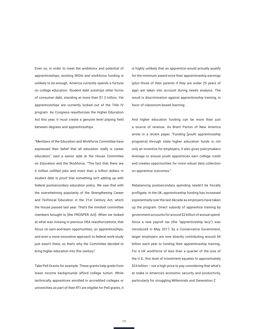Even so, in order to meet the ambitions and potential of apprenticeships, existing WIOA and workforce funding is unlikely to be enough. America currently spends a fortune on college education. Student debt outstrips other forms of consumer debt, standing at more than \$1.3 trillion. Yet apprenticeships are currently locked out of the Title IV program. As Congress reauthorizes the Higher Education Act this year, it must create a genuine level playing field between degrees and apprenticeships.

"Members of the Education and Workforce Committee have expressed their belief that all education really is career education," said a senior aide at the House Committee on Education and the Workforce. "The fact that there are 6 million unfilled jobs and more than a trillion dollars in student debt is proof that something isn't adding up with federal postsecondary education policy. We saw that with the overwhelming popularity of the Strengthening Career and Technical Education in the 21st Century Act, which the House passed last year. That's the mindset committee members brought to [the PROSPER Act]. When we looked at what was missing in previous HEA reauthorizations, that focus on earn-and-learn opportunities, on apprenticeships, and even a more innovative approach to federal work-study just wasn't there, so that's why the Committee decided to bring higher education into this century."

Take Pell Grants for example. These grants help grads from lower income backgrounds afford college tuition. While technically apprentices enrolled in accredited colleges or universities as part of their RTI are eligible for Pell grants, it

is highly unlikely that an apprentice would actually qualify for the minimum award once their apprenticeship earnings (plus those of their parents if they are under 25 years of age) are taken into account during needs analysis. The result is discrimination against apprenticeship training, in favor of classroom-based learning.

And higher education funding can be more than just a source of revenue. As Brent Parton of New America wrote in a recent paper, "Funding [youth apprenticeship programs] through state higher education funds is not only an incentive for employers, it also gives policymakers leverage to ensure youth apprentices earn college credit and creates opportunities for more robust data collection on apprentice outcomes."

Rebalancing postsecondary spending needn't be fiscally profligate. In the UK, apprenticeship funding has increased exponentially over the last decade as employers have taken up the program. Direct subsidy of apprentice training by government accounts for around \$2 billion of annual spend. Since a new payroll tax (the "apprenticeship levy") was introduced in May 2017, by a Conservative Government, larger employers are now directly contributing around \$4 billion each year to funding their apprenticeship training. For a UK workforce of less than a quarter of the size of the U.S., this level of investment equates to approximately \$24 billion – not a high price to pay considering that what's at stake is America's economic security and productivity, particularly for struggling Millennials and Generation Z.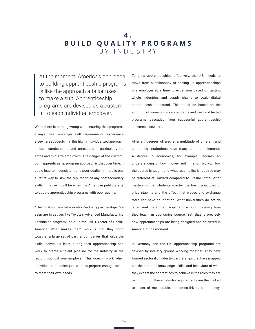### <span id="page-13-0"></span>**4 . BUILD QUALITY PROGRAMS** BY INDUSTRY

At the moment, America's approach to building apprenticeship programs is like the approach a tailor uses to make a suit. Apprenticeship programs are devised as a custom fit to each individual employer.

While there is nothing wrong with ensuring that programs always meet employer skill requirements, experience elsewhere suggests that this highly individualized approach is both cumbersome and unrealistic -- particularly for small and mid-size employers. The danger of the custombuilt apprenticeship program approach is that over time, it could lead to inconsistent and poor quality. If there is one surefire way to sink the reputation of any postsecondary skills initiative, it will be when the American public starts to equate apprenticeship programs with poor quality.

"The most successful education/industry partnerships I've seen are initiatives like Toyota's Advanced Manufacturing Technician program," said Jaime Fall, Director of Upskill America. What makes them work is that they bring together a large set of partner companies that value the skills individuals learn during their apprenticeship and work to create a talent pipeline for the industry in the region, not just one employer. This doesn't work when individual companies just work to prepare enough talent to meet their own needs."

To grow apprenticeships effectively, the U.S. needs to move from a philosophy of scaling up apprenticeships one employer at a time to expansion based on getting whole industries and supply chains to scale digital apprenticeships instead. This could be based on the adoption of some common standards and tried and tested programs cascaded from successful apprenticeship schemes elsewhere.

After all, degrees offered at a multitude of different and competing institutions have many common elements. A degree in economics, for example, requires an understanding of how money and inflation works. How the course is taught and what reading list is required may be different at Harvard compared to Fresno State. What matters is that students master the basic principles of price stability and the effect that wages and exchange rates can have on inflation. What universities do not do is reinvent the entire discipline of economics every time they teach an economics course. Yet, that is precisely how apprenticeships are being designed and delivered in America at the moment.

In Germany and the UK, apprenticeship programs are devised by industry groups working together. They have formed sectoral or industry partnerships that have mapped out the common knowledge, skills, and behaviors of what they expect the apprentices to achieve in the roles they are recruiting for. These industry requirements are then linked to a set of measurable, outcomes-driven, competency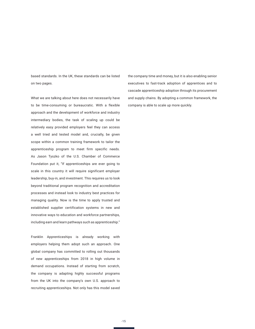based standards. In the UK, these standards can be listed on two pages.

What we are talking about here does not necessarily have to be time-consuming or bureaucratic. With a flexible approach and the development of workforce and industry intermediary bodies, the task of scaling up could be relatively easy provided employers feel they can access a well tried and tested model and, crucially, be given scope within a common training framework to tailor the apprenticeship program to meet firm specific needs. As Jason Tyszko of the U.S. Chamber of Commerce Foundation put it, "If apprenticeships are ever going to scale in this country it will require significant employer leadership, buy-in, and investment. This requires us to look beyond traditional program recognition and accreditation processes and instead look to industry best practices for managing quality. Now is the time to apply trusted and established supplier certification systems in new and innovative ways to education and workforce partnerships, including earn and learn pathways such as apprenticeship."

Franklin Apprenticeships is already working with employers helping them adopt such an approach. One global company has committed to rolling out thousands of new apprenticeships from 2018 in high volume in demand occupations. Instead of starting from scratch, the company is adapting highly successful programs from the UK into the company's own U.S. approach to recruiting apprenticeships. Not only has this model saved

the company time and money, but it is also enabling senior executives to fast-track adoption of apprentices and to cascade apprenticeship adoption through its procurement and supply chains. By adopting a common framework, the company is able to scale up more quickly.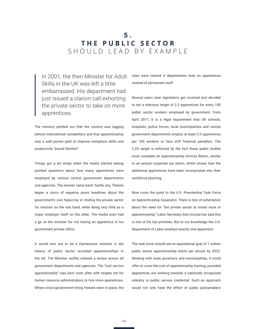### <span id="page-15-0"></span>**5 . THE PUBLIC SECTOR** SHOULD LEAD BY EXAMPLE

In 2001, the then Minister for Adult Skills in the UK was left a little embarrassed. His department had just issued a clarion call exhorting the private sector to take on more apprentices.

The ministry pointed out that the country was lagging behind international competitors and that apprenticeship was a well proven path to improve workplace skills and productivity. Sound familiar?

Things got a bit sticky when the media started asking pointed questions about how many apprentices were employed by various central government departments and agencies. The answer came back: hardly any. Therein began a slurry of negative press headlines about the government's own hypocrisy in chiding the private sector for inaction on the one hand, while doing very little as a major employer itself on the other. The media even had a go at the minister for not having an apprentice in his government private office.

It would turn out to be a Damascene moment in the history of public sector recruited apprenticeships in the UK. The Minister swiftly ordered a review across all government departments and agencies. The "civil service apprenticeship" was born soon after with targets set for human resource administrators to hire more apprentices. Where cross-government hiring freezes were in place, the rules were relaxed if departments took on apprentices instead of permanent staff.

Several years later legislators got involved and decided to set a statutory target of 2.3 apprentices for every 100 public sector workers employed by government. From April 2017, it is a legal requirement that UK schools, hospitals, police forces, local municipalities and central government departments employ at least 2.3 apprentices per 100 workers or face stiff financial penalties. The 2.3% target is enforced by the fact these public bodies must complete an Apprenticeship Activity Return, similar to an annual corporate tax return, which shows how the additional apprentices have been incorporated into their workforce planning.

Now cross the pond to the U.S. Presidential Task Force on Apprenticeship Expansion. There is lots of exhortation about the need for "the private sector to invest more in apprenticeship;" Labor Secretary Alex Acosta has said this is one of his top priorities. But to our knowledge the U.S. Department of Labor employs exactly one apprentice.

The task force should set an aspirational goal of 1 million public sector apprenticeship starts per annum by 2022. Working with state governors and municipalities, it could offer to cover the cost of apprenticeship training, provided apprentices are working towards a nationally recognized industry or public service credential. Such an approach would not only have the effect of public policymakers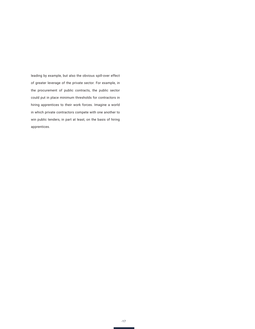leading by example, but also the obvious spill-over effect of greater leverage of the private sector. For example, in the procurement of public contracts, the public sector could put in place minimum thresholds for contractors in hiring apprentices to their work forces. Imagine a world in which private contractors compete with one another to win public tenders, in part at least, on the basis of hiring apprentices.